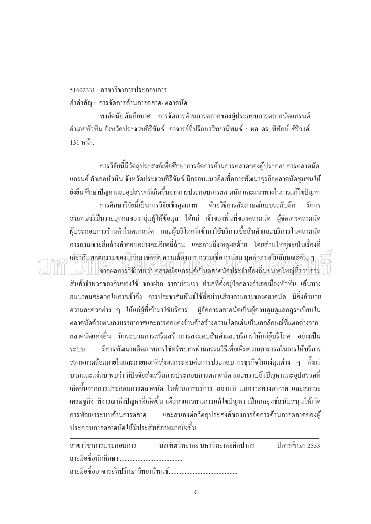$51602331:$  สาขาวิชาการประกอบการ

์ คำสำคัญ : การจัดการด้านการตลาด∖ ตลาดนัด

พงศ์คนัย ตันติยมาศ : การจัดการด้านการตลาดของผู้ประกอบการตลาดนัดแกรนด์ ้ อำเภอหัวหิบ จังหวัดประจวบคีรีขับธ์ อาจารย์ที่ปรึกษาวิทยาบิพบธ์ · ผศ ดร พิทักษ์ ศิริวงศ์ 131 หน้า.

ำกรวิจัยนี้มีวัตถุประสงค์เพื่อศึกษาการจัดการค้านการตลาดของผู้ประกอบการตลาดนัด ºÉ แกรนด์ อำเภอหัวหิน จังหวัดประจวบคีรีขันธ์ มีกรอบแนวคิดเพื่อการพัฒนาธุรกิจตลาดนัดชุมชนให้ ยั่งยืน ศึกษาปัญหาและอุปสรรคที่เกิดขึ้นจากการประกอบการตลาดนัด และแนวทางในการแก้ไขปัญหา การศึกษาวิจัยนี้เป็นการวิจัยเชิงคุณภาพ ด้วยวิธีการสัมภาษณ์แบบระดับลึก มีการ สัมภาษณ์เป็นรายบุคคลของกลุ่มผู้ให้ข้อมูล ได้แก่ เจ้าของพื้นที่ของตลาดนัด ผู้จัดการตลาดนัด ºÊ ผู้ประกอบการร้านค้าในตลาคนัค และผู้บริโภคที่เข้ามาใช้บริการซื้อสินค้าและบริการในตลาคนัค ºÊ การถามเจาะลึกล้วงคำตอบอย่างละเอียดถี่ถ้วน และถามถึงเหตุผลด้วย โดยส่วนใหญ่จะเป็นเรื่องที่ ºÉ เกี่ยวกับพฤติกรรมของบุ๊กคล เจตลดิ ความต้องการ ความเชื่อ ก่านิยม บุคลิกภาพในลักษณะต่าง ๆ ∫ ºÉ

 $\blacksquare$ จากผลการวิจัยพบว่า ตลาดนัดแกรนด์เป็นตลาดนัดประจำท้องถิ่นขนาดใหญ่ที่รวบรวม ·É ิสินค้าจำพวกของกินของใช้ ของฝาก ราคาย่อมเยา ทำเลที่ตั้งอยู่ใจกลางอำเภอเมืองหัวหิน เส้นทาง ิ คมนาคมสะดวกในการเข้าถึง การประชาสัมพันธ์ใช้สื่อผ่านเสียงตามสายของตลาดนัด มีสิ่งอำนวย ิ ความสะดวกต่าง ๆ ให้แก่ผู้ที่เข้ามาใช้บริการ ผู้จัดการตลาดนัดเป็นผู้ควบคุมดูแลกฎระเบียบใน ็ตลาดนัดด้วยตนเองบรรยากาศและการตกแต่งร้านค้าสร้างความโดดเด่นเป็นเอกลักษณ์ที่แตกต่างจาก ตลาคนัดแห่งอื่น มีกระบวนการเสริมสร้างการส่งมอบสินค้าและบริการให้แก่ผู้บริโภค อย่างเป็น ระบบ มีการพัฒนาผลิตภาพการใช้ทรัพยากรผ่านกรรมวิธีเพื่อเพิ่มความสามารถในการให้บริการ ºÉ สภาพแวดล้อมภายในและภายนอกที่ส่งผลกระทบต่อการประกอบการธุรกิจในแง่มุมต่าง ๆ ทั้งแง่ ´Ê ้ บวกและแง่ลบ พบว่า มีปัจจัยส่งเสริมการประกอบการตลาดนัด และทราบถึงปัญหาและอุปสรรคที่ เกิดขึ้นจากการประกอบการตลาดนัด ในด้านการบริการ สถานที่ มลภาวะทางอากาศ และสภาวะ เศรษฐกิจ พิจารณาถึงปัญหาที่เกิดขึ้น เพื่อหาแนวทางการแก้ไขปัญหา เป็นกลยุทธ์สนับสนุนให้เกิด การพัฒนาระบบด้านการตลาด และสนองต่อวัตถประสงค์ของการจัดการด้านการตลาดของผ้ ประกอบการตลาคนัคให้มีประสิทธิภาพมากยิ่งขึ้น  $\ddot{\phantom{a}}$ 

|  | สาขาวิชาการประกอบการ บัณฑิตวิทยาลัย มหาวิทยาลัยศิลปากร ปีการศึกษา 2553 |  |
|--|------------------------------------------------------------------------|--|
|  |                                                                        |  |
|  |                                                                        |  |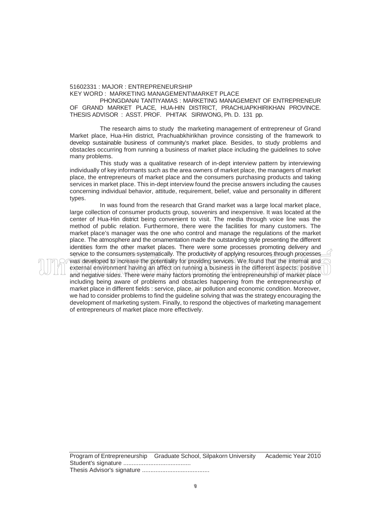## 51602331 : MAJOR : ENTREPRENEURSHIP

KEY WORD : MARKETING MANAGEMENT\MARKET PLACE

 PHONGDANAI TANTIYAMAS : MARKETING MANAGEMENT OF ENTREPRENEUR OF GRAND MARKET PLACE, HUA-HIN DISTRICT, PRACHUAPKHIRIKHAN PROVINCE. THESIS ADVISOR : ASST. PROF. PHITAK SIRIWONG, Ph. D. 131 pp.

The research aims to study the marketing management of entrepreneur of Grand Market place, Hua-Hin district, Prachuabkhirikhan province consisting of the framework to develop sustainable business of community's market place. Besides, to study problems and obstacles occurring from running a business of market place including the guidelines to solve many problems.

 This study was a qualitative research of in-dept interview pattern by interviewing individually of key informants such as the area owners of market place, the managers of market place, the entrepreneurs of market place and the consumers purchasing products and taking services in market place. This in-dept interview found the precise answers including the causes concerning individual behavior, attitude, requirement, belief, value and personality in different types.

 In was found from the research that Grand market was a large local market place, large collection of consumer products group, souvenirs and inexpensive. It was located at the center of Hua-Hin district being convenient to visit. The media through voice line was the method of public relation. Furthermore, there were the facilities for many customers. The market place's manager was the one who control and manage the regulations of the market place. The atmosphere and the ornamentation made the outstanding style presenting the different identities form the other market places. There were some processes promoting delivery and service to the consumers systematically. The productivity of applying resources through processes was developed to increase the potentiality for providing services. We found that the internal and external environment having an affect on running a business in the different aspects: positive and negative sides. There were many factors promoting the entrepreneurship of market place including being aware of problems and obstacles happening from the entrepreneurship of market place in different fields : service, place, air pollution and economic condition. Moreover, we had to consider problems to find the guideline solving that was the strategy encouraging the development of marketing system. Finally, to respond the objectives of marketing management of entrepreneurs of market place more effectively.

Program of Entrepreneurship Graduate School, Silpakorn University Academic Year 2010 Student's signature ........................................ Thesis Advisor's signature ........................................